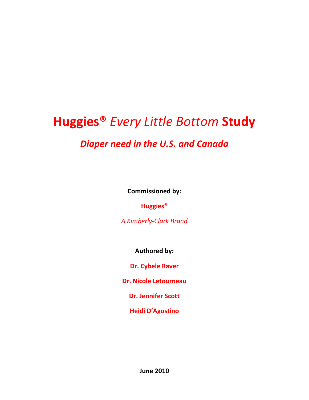# **Huggies®** *Every Little Bottom* **Study**

# *Diaper need in the U.S. and Canada*

**Commissioned by:**

**Huggies®**

*A Kimberly-Clark Brand*

**Authored by:**

**Dr. Cybele Raver**

**Dr. Nicole Letourneau**

**Dr. Jennifer Scott**

**Heidi D'Agostino**

**June 2010**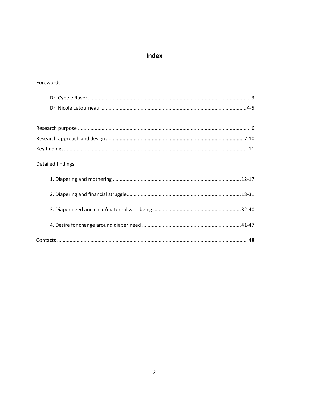### Index

### Forewords

| Detailed findings |
|-------------------|
|                   |
|                   |
|                   |
|                   |
|                   |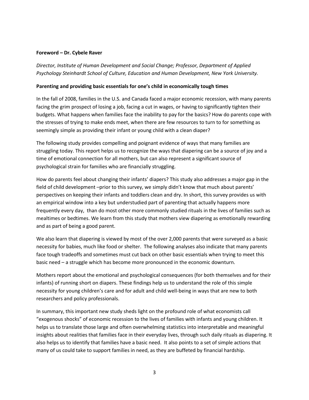#### **Foreword – Dr. Cybele Raver**

*Director, Institute of Human Development and Social Change; Professor, Department of Applied Psychology Steinhardt School of Culture, Education and Human Development, New York University.*

#### **Parenting and providing basic essentials for one's child in economically tough times**

In the fall of 2008, families in the U.S. and Canada faced a major economic recession, with many parents facing the grim prospect of losing a job, facing a cut in wages, or having to significantly tighten their budgets. What happens when families face the inability to pay for the basics? How do parents cope with the stresses of trying to make ends meet, when there are few resources to turn to for something as seemingly simple as providing their infant or young child with a clean diaper?

The following study provides compelling and poignant evidence of ways that many families are struggling today. This report helps us to recognize the ways that diapering can be a source of joy and a time of emotional connection for all mothers, but can also represent a significant source of psychological strain for families who are financially struggling.

How do parents feel about changing their infants' diapers? This study also addresses a major gap in the field of child development –prior to this survey, we simply didn't know that much about parents' perspectives on keeping their infants and toddlers clean and dry. In short, this survey provides us with an empirical window into a key but understudied part of parenting that actually happens more frequently every day, than do most other more commonly studied rituals in the lives of families such as mealtimes or bedtimes. We learn from this study that mothers view diapering as emotionally rewarding and as part of being a good parent.

We also learn that diapering is viewed by most of the over 2,000 parents that were surveyed as a basic necessity for babies, much like food or shelter. The following analyses also indicate that many parents face tough tradeoffs and sometimes must cut back on other basic essentials when trying to meet this basic need – a struggle which has become more pronounced in the economic downturn.

Mothers report about the emotional and psychological consequences (for both themselves and for their infants) of running short on diapers. These findings help us to understand the role of this simple necessity for young children's care and for adult and child well-being in ways that are new to both researchers and policy professionals.

In summary, this important new study sheds light on the profound role of what economists call "exogenous shocks" of economic recession to the lives of families with infants and young children. It helps us to translate those large and often overwhelming statistics into interpretable and meaningful insights about realities that families face in their everyday lives, through such daily rituals as diapering. It also helps us to identify that families have a basic need. It also points to a set of simple actions that many of us could take to support families in need, as they are buffeted by financial hardship.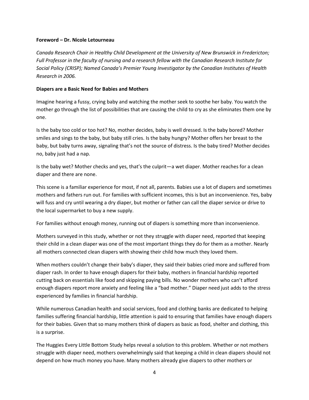#### **Foreword – Dr. Nicole Letourneau**

*Canada Research Chair in Healthy Child Development at the University of New Brunswick in Fredericton; Full Professor in the faculty of nursing and a research fellow with the Canadian Research Institute for Social Policy (CRISP); Named Canada's Premier Young Investigator by the Canadian Institutes of Health Research in 2006.*

#### **Diapers are a Basic Need for Babies and Mothers**

Imagine hearing a fussy, crying baby and watching the mother seek to soothe her baby. You watch the mother go through the list of possibilities that are causing the child to cry as she eliminates them one by one.

Is the baby too cold or too hot? No, mother decides, baby is well dressed. Is the baby bored? Mother smiles and sings to the baby, but baby still cries. Is the baby hungry? Mother offers her breast to the baby, but baby turns away, signaling that's not the source of distress. Is the baby tired? Mother decides no, baby just had a nap.

Is the baby wet? Mother checks and yes, that's the culprit—a wet diaper. Mother reaches for a clean diaper and there are none.

This scene is a familiar experience for most, if not all, parents. Babies use a lot of diapers and sometimes mothers and fathers run out. For families with sufficient incomes, this is but an inconvenience. Yes, baby will fuss and cry until wearing a dry diaper, but mother or father can call the diaper service or drive to the local supermarket to buy a new supply.

For families without enough money, running out of diapers is something more than inconvenience.

Mothers surveyed in this study, whether or not they struggle with diaper need, reported that keeping their child in a clean diaper was one of the most important things they do for them as a mother. Nearly all mothers connected clean diapers with showing their child how much they loved them.

When mothers couldn't change their baby's diaper, they said their babies cried more and suffered from diaper rash. In order to have enough diapers for their baby, mothers in financial hardship reported cutting back on essentials like food and skipping paying bills. No wonder mothers who can't afford enough diapers report more anxiety and feeling like a "bad mother." Diaper need just adds to the stress experienced by families in financial hardship.

While numerous Canadian health and social services, food and clothing banks are dedicated to helping families suffering financial hardship, little attention is paid to ensuring that families have enough diapers for their babies. Given that so many mothers think of diapers as basic as food, shelter and clothing, this is a surprise.

The Huggies Every Little Bottom Study helps reveal a solution to this problem. Whether or not mothers struggle with diaper need, mothers overwhelmingly said that keeping a child in clean diapers should not depend on how much money you have. Many mothers already give diapers to other mothers or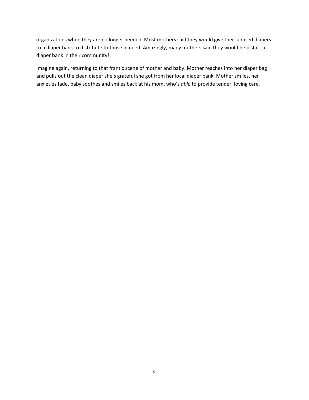organizations when they are no longer needed. Most mothers said they would give their unused diapers to a diaper bank to distribute to those in need. Amazingly, many mothers said they would help start a diaper bank in their community!

Imagine again, returning to that frantic scene of mother and baby. Mother reaches into her diaper bag and pulls out the clean diaper she's grateful she got from her local diaper bank. Mother smiles, her anxieties fade, baby soothes and smiles back at his mom, who's *able* to provide tender, loving care.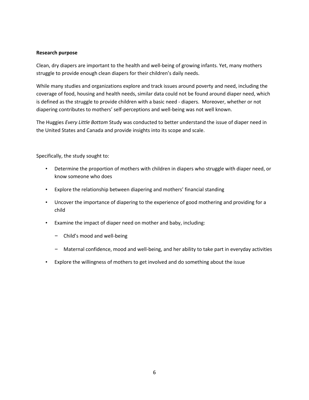#### **Research purpose**

Clean, dry diapers are important to the health and well-being of growing infants. Yet, many mothers struggle to provide enough clean diapers for their children's daily needs.

While many studies and organizations explore and track issues around poverty and need, including the coverage of food, housing and health needs, similar data could not be found around diaper need, which is defined as the struggle to provide children with a basic need - diapers. Moreover, whether or not diapering contributes to mothers' self-perceptions and well-being was not well known.

The Huggies *Every Little Bottom* Study was conducted to better understand the issue of diaper need in the United States and Canada and provide insights into its scope and scale.

Specifically, the study sought to:

- Determine the proportion of mothers with children in diapers who struggle with diaper need, or know someone who does
- Explore the relationship between diapering and mothers' financial standing
- Uncover the importance of diapering to the experience of good mothering and providing for a child
- Examine the impact of diaper need on mother and baby, including:
	- Child's mood and well-being
	- Maternal confidence, mood and well-being, and her ability to take part in everyday activities
- Explore the willingness of mothers to get involved and do something about the issue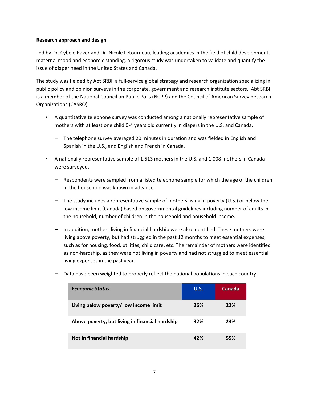#### **Research approach and design**

Led by Dr. Cybele Raver and Dr. Nicole Letourneau, leading academics in the field of child development, maternal mood and economic standing, a rigorous study was undertaken to validate and quantify the issue of diaper need in the United States and Canada.

The study was fielded by Abt SRBI, a full-service global strategy and research organization specializing in public policy and opinion surveys in the corporate, government and research institute sectors. Abt SRBI is a member of the National Council on Public Polls (NCPP) and the Council of American Survey Research Organizations (CASRO).

- A quantitative telephone survey was conducted among a nationally representative sample of mothers with at least one child 0-4 years old currently in diapers in the U.S. and Canada.
	- The telephone survey averaged 20 minutes in duration and was fielded in English and Spanish in the U.S., and English and French in Canada.
- A nationally representative sample of 1,513 mothers in the U.S. and 1,008 mothers in Canada were surveyed.
	- Respondents were sampled from a listed telephone sample for which the age of the children in the household was known in advance.
	- The study includes a representative sample of mothers living in poverty (U.S.) or below the low income limit (Canada) based on governmental guidelines including number of adults in the household, number of children in the household and household income.
	- In addition, mothers living in financial hardship were also identified. These mothers were living above poverty, but had struggled in the past 12 months to meet essential expenses, such as for housing, food, utilities, child care, etc. The remainder of mothers were identified as non-hardship, as they were not living in poverty and had not struggled to meet essential living expenses in the past year.

| <b>Economic Status</b>                          | U.S. | Canada |
|-------------------------------------------------|------|--------|
| Living below poverty/low income limit           | 26%  | 22%    |
| Above poverty, but living in financial hardship | 32%  | 23%    |
| Not in financial hardship                       | 42%  | 55%    |

– Data have been weighted to properly reflect the national populations in each country.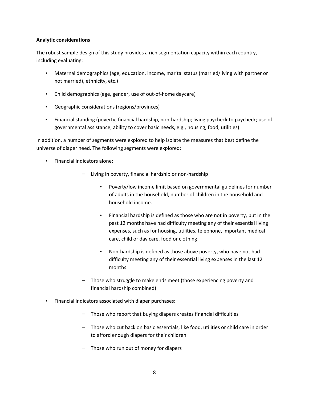#### **Analytic considerations**

The robust sample design of this study provides a rich segmentation capacity within each country, including evaluating:

- Maternal demographics (age, education, income, marital status (married/living with partner or not married), ethnicity, etc.)
- Child demographics (age, gender, use of out-of-home daycare)
- Geographic considerations (regions/provinces)
- Financial standing (poverty, financial hardship, non-hardship; living paycheck to paycheck; use of governmental assistance; ability to cover basic needs, e.g., housing, food, utilities)

In addition, a number of segments were explored to help isolate the measures that best define the universe of diaper need. The following segments were explored:

- Financial indicators alone:
	- Living in poverty, financial hardship or non-hardship
		- Poverty/low income limit based on governmental guidelines for number of adults in the household, number of children in the household and household income.
		- Financial hardship is defined as those who are not in poverty, but in the past 12 months have had difficulty meeting any of their essential living expenses, such as for housing, utilities, telephone, important medical care, child or day care, food or clothing
		- Non-hardship is defined as those above poverty, who have not had difficulty meeting any of their essential living expenses in the last 12 months
	- Those who struggle to make ends meet (those experiencing poverty and financial hardship combined)
- Financial indicators associated with diaper purchases:
	- Those who report that buying diapers creates financial difficulties
	- Those who cut back on basic essentials, like food, utilities or child care in order to afford enough diapers for their children
	- Those who run out of money for diapers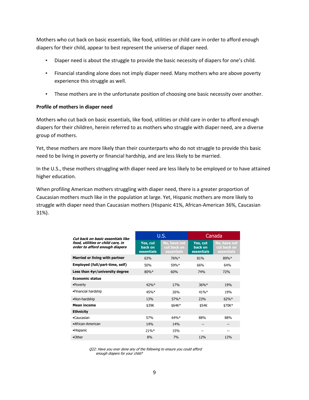Mothers who cut back on basic essentials, like food, utilities or child care in order to afford enough diapers for their child, appear to best represent the universe of diaper need.

- Diaper need is about the struggle to provide the basic necessity of diapers for one's child.
- Financial standing alone does not imply diaper need. Many mothers who are above poverty experience this struggle as well.
- These mothers are in the unfortunate position of choosing one basic necessity over another.

#### **Profile of mothers in diaper need**

Mothers who cut back on basic essentials, like food, utilities or child care in order to afford enough diapers for their children, herein referred to as mothers who struggle with diaper need, are a diverse group of mothers.

Yet, these mothers are more likely than their counterparts who do not struggle to provide this basic need to be living in poverty or financial hardship, and are less likely to be married.

In the U.S., these mothers struggling with diaper need are less likely to be employed or to have attained higher education.

When profiling American mothers struggling with diaper need, there is a greater proportion of Caucasian mothers much like in the population at large. Yet, Hispanic mothers are more likely to struggle with diaper need than Caucasian mothers (Hispanic 41%, African-American 36%, Caucasian 31%).

| Cut back on basic essentials like                                   | U.S.                              |                                           | Canada                                   |                                           |
|---------------------------------------------------------------------|-----------------------------------|-------------------------------------------|------------------------------------------|-------------------------------------------|
| food, utilities or child care, in<br>order to afford enough diapers | Yes, cut<br>back on<br>essentials | No, have not<br>cut back on<br>essentials | Yes, cut<br>back on<br><b>essentials</b> | No, have not<br>cut back on<br>essentials |
| Married or living with partner                                      | 63%                               | 76%*                                      | 81%                                      | 89%*                                      |
| Employed (full/part-time, self)                                     | 50%                               | 59%*                                      | 66%                                      | 64%                                       |
| Less than 4yr/university degree                                     | $80\%*$                           | 60%                                       | <b>74%</b>                               | <b>72%</b>                                |
| <b>Economic status</b>                                              |                                   |                                           |                                          |                                           |
| •Poverty                                                            | 42%                               | <b>17%</b>                                | $36\%*$                                  | 19%                                       |
| •Financial hardship                                                 | 45%                               | 26%                                       | $41\%*$                                  | 19%                                       |
| •Non-hardship                                                       | 13%                               | 57%*                                      | 23%                                      | $62\%$ *                                  |
| <b>Mean income</b>                                                  | \$39K                             | \$64K*                                    | \$54K                                    | \$70K*                                    |
| <b>Ethnicity</b>                                                    |                                   |                                           |                                          |                                           |
| •Caucasian                                                          | 57%                               | 64%*                                      | 88%                                      | 88%                                       |
| •African-American                                                   | 14%                               | 14%                                       | --                                       | --                                        |
| •Hispanic                                                           | $21\%*$                           | 15%                                       | --                                       | --                                        |
| •Other                                                              | 8%                                | 7%                                        | 12%                                      | 12%                                       |

Q22: Have you ever done any of the following to ensure you could afford enough diapers for your child?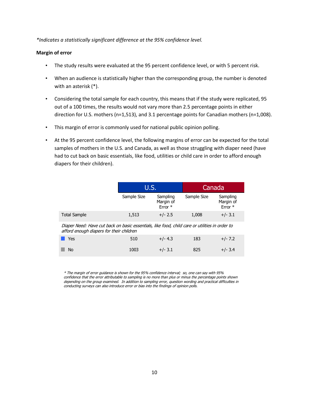*\*Indicates a statistically significant difference at the 95% confidence level.* 

#### **Margin of error**

- The study results were evaluated at the 95 percent confidence level, or with 5 percent risk.
- When an audience is statistically higher than the corresponding group, the number is denoted with an asterisk (\*).
- Considering the total sample for each country, this means that if the study were replicated, 95 out of a 100 times, the results would not vary more than 2.5 percentage points in either direction for U.S. mothers (n=1,513), and 3.1 percentage points for Canadian mothers (n=1,008).
- This margin of error is commonly used for national public opinion polling.
- At the 95 percent confidence level, the following margins of error can be expected for the total samples of mothers in the U.S. and Canada, as well as those struggling with diaper need (have had to cut back on basic essentials, like food, utilities or child care in order to afford enough diapers for their children).

|                                                                                                                                            | U.S.        |                                  | Canada      |                                  |
|--------------------------------------------------------------------------------------------------------------------------------------------|-------------|----------------------------------|-------------|----------------------------------|
|                                                                                                                                            | Sample Size | Sampling<br>Margin of<br>Error * | Sample Size | Sampling<br>Margin of<br>Error * |
| <b>Total Sample</b>                                                                                                                        | 1,513       | $+/- 2.5$                        | 1,008       | $+/- 3.1$                        |
| Diaper Need: Have cut back on basic essentials, like food, child care or utilities in order to<br>afford enough diapers for their children |             |                                  |             |                                  |

| $\blacksquare$ Yes | 510  | $+/- 4.3$ | 183 | $+/- 7.2$ |
|--------------------|------|-----------|-----|-----------|
| $\blacksquare$ No  | 1003 | $+/- 3.1$ | 825 | $+/- 3.4$ |

\* The margin of error guidance is shown for the 95% confidence interval; so, one can say with 95% confidence that the error attributable to sampling is no more than plus or minus the percentage points shown depending on the group examined. In addition to sampling error, question wording and practical difficulties in conducting surveys can also introduce error or bias into the findings of opinion polls.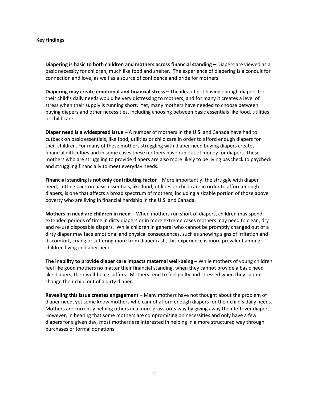#### **Key findings**

**Diapering is basic to both children and mothers across financial standing –** Diapers are viewed as a basic necessity for children, much like food and shelter. The experience of diapering is a conduit for connection and love, as well as a source of confidence and pride for mothers.

**Diapering may create emotional and financial stress –** The idea of not having enough diapers for their child's daily needs would be very distressing to mothers, and for many it creates a level of stress when their supply is running short. Yet, many mothers have needed to choose between buying diapers and other necessities, including choosing between basic essentials like food, utilities or child care.

**Diaper need is a widespread issue –** A number of mothers in the U.S. and Canada have had to cutback on basic essentials, like food, utilities or child care in order to afford enough diapers for their children. For many of these mothers struggling with diaper need buying diapers creates financial difficulties and in some cases these mothers have run out of money for diapers. These mothers who are struggling to provide diapers are also more likely to be living paycheck to paycheck and struggling financially to meet everyday needs.

**Financial standing is not only contributing factor** – More importantly, the struggle with diaper need, cutting back on basic essentials, like food, utilities or child care in order to afford enough diapers, is one that affects a broad spectrum of mothers, including a sizable portion of those above poverty who are living in financial hardship in the U.S. and Canada.

**Mothers in need are children in need –** When mothers run short of diapers, children may spend extended periods of time in dirty diapers or in more extreme cases mothers may need to clean, dry and re-use disposable diapers. While children in general who cannot be promptly changed out of a dirty diaper may face emotional and physical consequences, such as showing signs of irritation and discomfort, crying or suffering more from diaper rash, this experience is more prevalent among children living in diaper need.

**The inability to provide diaper care impacts maternal well-being –** While mothers of young children feel like good mothers no matter their financial standing, when they cannot provide a basic need like diapers, their well-being suffers. Mothers tend to feel guilty and stressed when they cannot change their child out of a dirty diaper.

**Revealing this issue creates engagement –** Many mothers have not thought about the problem of diaper need, yet some know mothers who cannot afford enough diapers for their child's daily needs. Mothers are currently helping others in a more grassroots way by giving away their leftover diapers. However, in hearing that some mothers are compromising on necessities and only have a few diapers for a given day, most mothers are interested in helping in a more structured way through purchases or formal donations.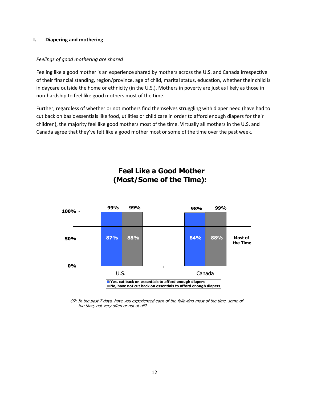#### **I. Diapering and mothering**

#### *Feelings of good mothering are shared*

Feeling like a good mother is an experience shared by mothers across the U.S. and Canada irrespective of their financial standing, region/province, age of child, marital status, education, whether their child is in daycare outside the home or ethnicity (in the U.S.). Mothers in poverty are just as likely as those in non-hardship to feel like good mothers most of the time.

Further, regardless of whether or not mothers find themselves struggling with diaper need (have had to cut back on basic essentials like food, utilities or child care in order to afford enough diapers for their children), the majority feel like good mothers most of the time. Virtually all mothers in the U.S. and Canada agree that they've felt like a good mother most or some of the time over the past week.



### **Feel Like a Good Mother (Most/Some of the Time):**

Q7: In the past 7 days, have you experienced each of the following most of the time, some of the time, not very often or not at all?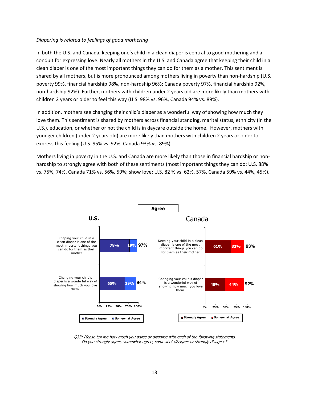#### *Diapering is related to feelings of good mothering*

In both the U.S. and Canada, keeping one's child in a clean diaper is central to good mothering and a conduit for expressing love. Nearly all mothers in the U.S. and Canada agree that keeping their child in a clean diaper is one of the most important things they can do for them as a mother. This sentiment is shared by all mothers, but is more pronounced among mothers living in poverty than non-hardship (U.S. poverty 99%, financial hardship 98%, non-hardship 96%; Canada poverty 97%, financial hardship 92%, non-hardship 92%). Further, mothers with children under 2 years old are more likely than mothers with children 2 years or older to feel this way (U.S. 98% vs. 96%, Canada 94% vs. 89%).

In addition, mothers see changing their child's diaper as a wonderful way of showing how much they love them. This sentiment is shared by mothers across financial standing, marital status, ethnicity (in the U.S.), education, or whether or not the child is in daycare outside the home. However, mothers with younger children (under 2 years old) are more likely than mothers with children 2 years or older to express this feeling (U.S. 95% vs. 92%, Canada 93% vs. 89%).

Mothers living in poverty in the U.S. and Canada are more likely than those in financial hardship or nonhardship to strongly agree with both of these sentiments (most important things they can do: U.S. 88% vs. 75%, 74%, Canada 71% vs. 56%, 59%; show love: U.S. 82 % vs. 62%, 57%, Canada 59% vs. 44%, 45%).



Q33: Please tell me how much you agree or disagree with each of the following statements. Do you strongly agree, somewhat agree, somewhat disagree or strongly disagree?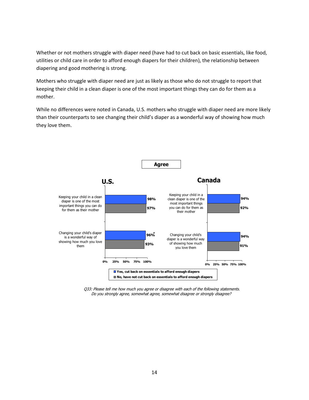Whether or not mothers struggle with diaper need (have had to cut back on basic essentials, like food, utilities or child care in order to afford enough diapers for their children), the relationship between diapering and good mothering is strong.

Mothers who struggle with diaper need are just as likely as those who do not struggle to report that keeping their child in a clean diaper is one of the most important things they can do for them as a mother.

While no differences were noted in Canada, U.S. mothers who struggle with diaper need are more likely than their counterparts to see changing their child's diaper as a wonderful way of showing how much they love them.



Q33: Please tell me how much you agree or disagree with each of the following statements. Do you strongly agree, somewhat agree, somewhat disagree or strongly disagree?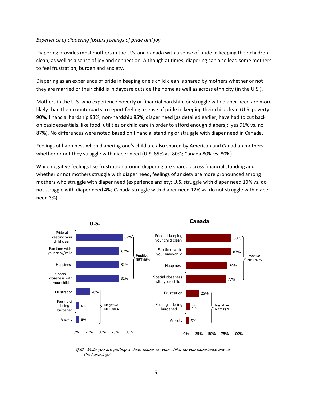#### *Experience of diapering fosters feelings of pride and joy*

Diapering provides most mothers in the U.S. and Canada with a sense of pride in keeping their children clean, as well as a sense of joy and connection. Although at times, diapering can also lead some mothers to feel frustration, burden and anxiety.

Diapering as an experience of pride in keeping one's child clean is shared by mothers whether or not they are married or their child is in daycare outside the home as well as across ethnicity (in the U.S.).

Mothers in the U.S. who experience poverty or financial hardship, or struggle with diaper need are more likely than their counterparts to report feeling a sense of pride in keeping their child clean (U.S. poverty 90%, financial hardship 93%, non-hardship 85%; diaper need [as detailed earlier, have had to cut back on basic essentials, like food, utilities or child care in order to afford enough diapers]: yes 91% vs. no 87%). No differences were noted based on financial standing or struggle with diaper need in Canada.

Feelings of happiness when diapering one's child are also shared by American and Canadian mothers whether or not they struggle with diaper need (U.S. 85% vs. 80%; Canada 80% vs. 80%).

While negative feelings like frustration around diapering are shared across financial standing and whether or not mothers struggle with diaper need, feelings of anxiety are more pronounced among mothers who struggle with diaper need (experience anxiety: U.S. struggle with diaper need 10% vs. do not struggle with diaper need 4%; Canada struggle with diaper need 12% vs. do not struggle with diaper need 3%).



Q30: While you are putting a clean diaper on your child, do you experience any of the following?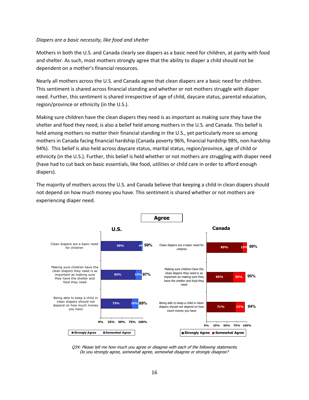#### *Diapers are a basic necessity, like food and shelter*

Mothers in both the U.S. and Canada clearly see diapers as a basic need for children, at parity with food and shelter. As such, most mothers strongly agree that the ability to diaper a child should not be dependent on a mother's financial resources.

Nearly all mothers across the U.S. and Canada agree that clean diapers are a basic need for children. This sentiment is shared across financial standing and whether or not mothers struggle with diaper need. Further, this sentiment is shared irrespective of age of child, daycare status, parental education, region/province or ethnicity (in the U.S.).

Making sure children have the clean diapers they need is as important as making sure they have the shelter and food they need, is also a belief held among mothers in the U.S. and Canada. This belief is held among mothers no matter their financial standing in the U.S., yet particularly more so among mothers in Canada facing financial hardship (Canada poverty 96%, financial hardship 98%, non-hardship 94%). This belief is also held across daycare status, marital status, region/province, age of child or ethnicity (in the U.S.). Further, this belief is held whether or not mothers are struggling with diaper need (have had to cut back on basic essentials, like food, utilities or child care in order to afford enough diapers).

The majority of mothers across the U.S. and Canada believe that keeping a child in clean diapers should not depend on how much money you have. This sentiment is shared whether or not mothers are experiencing diaper need.



Q34: Please tell me how much you agree or disagree with each of the following statements. Do you strongly agree, somewhat agree, somewhat disagree or strongly disagree?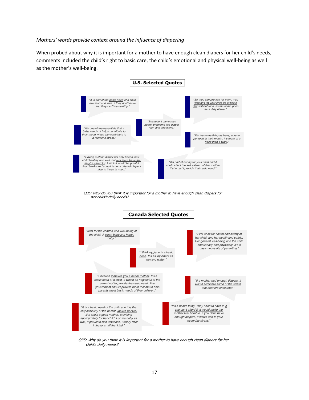#### *Mothers' words provide context around the influence of diapering*

When probed about why it is important for a mother to have enough clean diapers for her child's needs, comments included the child's right to basic care, the child's emotional and physical well-being as well as the mother's well-being.



Q35: Why do you think it is important for a mother to have enough clean diapers for her child's daily needs?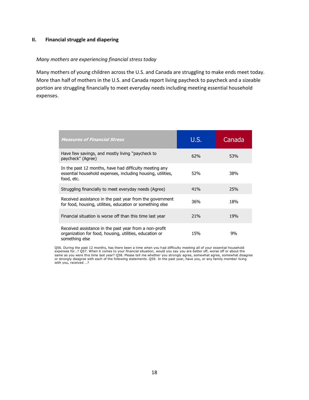#### **II. Financial struggle and diapering**

#### *Many mothers are experiencing financial stress today*

Many mothers of young children across the U.S. and Canada are struggling to make ends meet today. More than half of mothers in the U.S. and Canada report living paycheck to paycheck and a sizeable portion are struggling financially to meet everyday needs including meeting essential household expenses.

| <b>Measures of Financial Stress</b>                                                                                                 | U.S.            | Canada |
|-------------------------------------------------------------------------------------------------------------------------------------|-----------------|--------|
| Have few savings, and mostly living "paycheck to<br>paycheck" (Agree)                                                               | 62%             | 53%    |
| In the past 12 months, have had difficulty meeting any<br>essential household expenses, including housing, utilities,<br>food, etc. | 52 <sub>%</sub> | 38%    |
| Struggling financially to meet everyday needs (Agree)                                                                               | 41%             | 25%    |
| Received assistance in the past year from the government<br>for food, housing, utilities, education or something else               | 36%             | 18%    |
| Financial situation is worse off than this time last year                                                                           | 21%             | 19%    |
| Received assistance in the past year from a non-profit<br>organization for food, housing, utilities, education or<br>something else | 15%             | 9%     |

Q56. During the past 12 months, has there been a time when you had difficulty meeting all of your essential household expenses for…? Q57. When it comes to your financial situation, would you say you are better off, worse off or about the<br>same as you were this time last year? Q58. Please tell me whether you strongly agree, somewhat agree,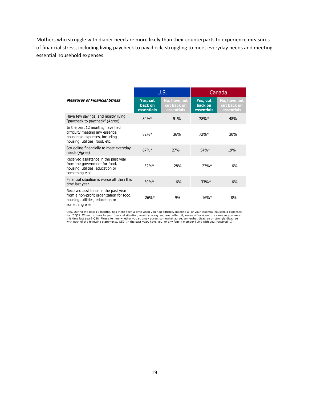Mothers who struggle with diaper need are more likely than their counterparts to experience measures of financial stress, including living paycheck to paycheck, struggling to meet everyday needs and meeting essential household expenses.

|                                                                                                                                        | U.S.                              |                                           |                                   | Canada                                    |
|----------------------------------------------------------------------------------------------------------------------------------------|-----------------------------------|-------------------------------------------|-----------------------------------|-------------------------------------------|
| <b>Measures of Financial Stress</b>                                                                                                    | Yes, cut<br>back on<br>essentials | No, have not<br>cut back on<br>essentials | Yes, cut<br>back on<br>essentials | No, have not<br>cut back on<br>essentials |
| Have few savings, and mostly living<br>"paycheck to paycheck" (Agree)                                                                  | $84%$ *                           | 51%                                       | 78%*                              | 48%                                       |
| In the past 12 months, have had<br>difficulty meeting any essential<br>household expenses, including<br>housing, utilities, food, etc. | $82%$ *                           | 36%                                       | 72%                               | 30%                                       |
| Struggling financially to meet everyday<br>needs (Agree)                                                                               | $67%$ *                           | 27%                                       | $54\%*$                           | 19%                                       |
| Received assistance in the past year<br>from the government for food,<br>housing, utilities, education or<br>something else            | 52%                               | 28%                                       | 27%                               | 16%                                       |
| Financial situation is worse off than this<br>time last year                                                                           | $30\%*$                           | 16%                                       | $33\%*$                           | 16%                                       |
| Received assistance in the past year<br>from a non-profit organization for food,<br>housing, utilities, education or<br>something else | $26%$ *                           | 9%                                        | $16\%*$                           | 8%                                        |

Q56. During the past 12 months, has there been a time when you had difficulty meeting all of your essential household expenses for…? Q57. When it comes to your financial situation, would you say you are better off, worse off or about the same as you were<br>this time last year? Q58. Please tell me whether you strongly agree, somewhat agree, somewhat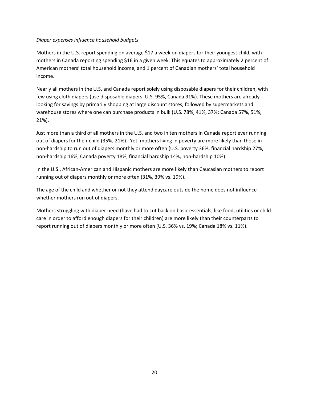#### *Diaper expenses influence household budgets*

Mothers in the U.S. report spending on average \$17 a week on diapers for their youngest child, with mothers in Canada reporting spending \$16 in a given week. This equates to approximately 2 percent of American mothers' total household income, and 1 percent of Canadian mothers' total household income.

Nearly all mothers in the U.S. and Canada report solely using disposable diapers for their children, with few using cloth diapers (use disposable diapers: U.S. 95%, Canada 91%). These mothers are already looking for savings by primarily shopping at large discount stores, followed by supermarkets and warehouse stores where one can purchase products in bulk (U.S. 78%, 41%, 37%; Canada 57%, 51%, 21%).

Just more than a third of all mothers in the U.S. and two in ten mothers in Canada report ever running out of diapers for their child (35%, 21%). Yet, mothers living in poverty are more likely than those in non-hardship to run out of diapers monthly or more often (U.S. poverty 36%, financial hardship 27%, non-hardship 16%; Canada poverty 18%, financial hardship 14%, non-hardship 10%).

In the U.S., African-American and Hispanic mothers are more likely than Caucasian mothers to report running out of diapers monthly or more often (31%, 39% vs. 19%).

The age of the child and whether or not they attend daycare outside the home does not influence whether mothers run out of diapers.

Mothers struggling with diaper need (have had to cut back on basic essentials, like food, utilities or child care in order to afford enough diapers for their children) are more likely than their counterparts to report running out of diapers monthly or more often (U.S. 36% vs. 19%; Canada 18% vs. 11%).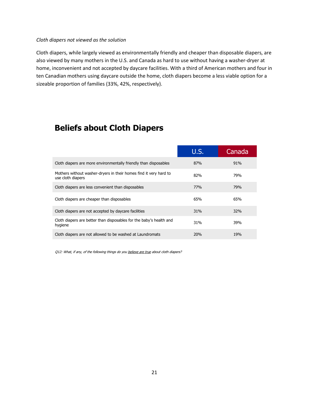#### *Cloth diapers not viewed as the solution*

Cloth diapers, while largely viewed as environmentally friendly and cheaper than disposable diapers, are also viewed by many mothers in the U.S. and Canada as hard to use without having a washer-dryer at home, inconvenient and not accepted by daycare facilities. With a third of American mothers and four in ten Canadian mothers using daycare outside the home, cloth diapers become a less viable option for a sizeable proportion of families (33%, 42%, respectively).

# **Beliefs about Cloth Diapers**

|                                                                                        | U.S.       | Canada |
|----------------------------------------------------------------------------------------|------------|--------|
| Cloth diapers are more environmentally friendly than disposables                       | 87%        | 91%    |
| Mothers without washer-dryers in their homes find it very hard to<br>use cloth diapers | 82%        | 79%    |
| Cloth diapers are less convenient than disposables                                     | <b>77%</b> | 79%    |
| Cloth diapers are cheaper than disposables                                             | 65%        | 65%    |
| Cloth diapers are not accepted by daycare facilities                                   | 31%        | 32%    |
| Cloth diapers are better than disposables for the baby's health and<br>hygiene         | 31%        | 39%    |
| Cloth diapers are not allowed to be washed at Laundromats                              | 20%        | 19%    |

Q12: What, if any, of the following things do you believe are true about cloth diapers?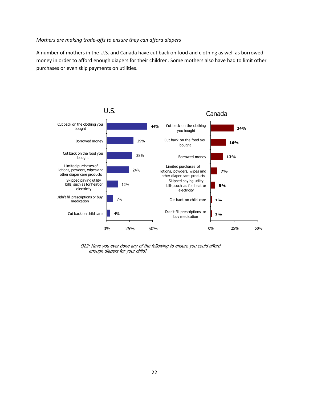#### *Mothers are making trade-offs to ensure they can afford diapers*

A number of mothers in the U.S. and Canada have cut back on food and clothing as well as borrowed money in order to afford enough diapers for their children. Some mothers also have had to limit other purchases or even skip payments on utilities.



Q22: Have you ever done any of the following to ensure you could afford enough diapers for your child?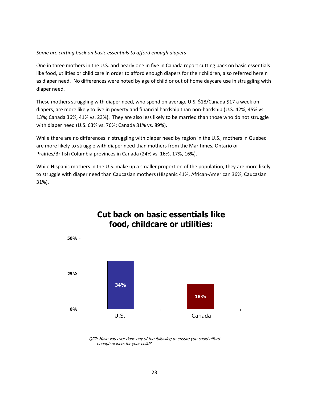#### *Some are cutting back on basic essentials to afford enough diapers*

One in three mothers in the U.S. and nearly one in five in Canada report cutting back on basic essentials like food, utilities or child care in order to afford enough diapers for their children, also referred herein as diaper need. No differences were noted by age of child or out of home daycare use in struggling with diaper need.

These mothers struggling with diaper need, who spend on average U.S. \$18/Canada \$17 a week on diapers, are more likely to live in poverty and financial hardship than non-hardship (U.S. 42%, 45% vs. 13%; Canada 36%, 41% vs. 23%). They are also less likely to be married than those who do not struggle with diaper need (U.S. 63% vs. 76%; Canada 81% vs. 89%).

While there are no differences in struggling with diaper need by region in the U.S., mothers in Quebec are more likely to struggle with diaper need than mothers from the Maritimes, Ontario or Prairies/British Columbia provinces in Canada (24% vs. 16%, 17%, 16%).

While Hispanic mothers in the U.S. make up a smaller proportion of the population, they are more likely to struggle with diaper need than Caucasian mothers (Hispanic 41%, African-American 36%, Caucasian 31%).

**Cut back on basic essentials like** 



Q22: Have you ever done any of the following to ensure you could afford enough diapers for your child?

#### 23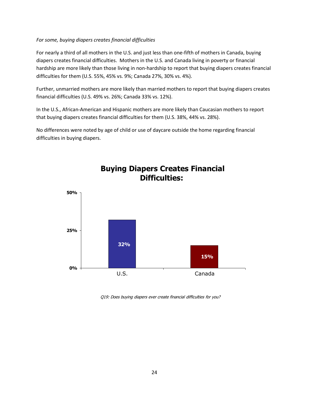#### *For some, buying diapers creates financial difficulties*

For nearly a third of all mothers in the U.S. and just less than one-fifth of mothers in Canada, buying diapers creates financial difficulties. Mothers in the U.S. and Canada living in poverty or financial hardship are more likely than those living in non-hardship to report that buying diapers creates financial difficulties for them (U.S. 55%, 45% vs. 9%; Canada 27%, 30% vs. 4%).

Further, unmarried mothers are more likely than married mothers to report that buying diapers creates financial difficulties (U.S. 49% vs. 26%; Canada 33% vs. 12%).

In the U.S., African-American and Hispanic mothers are more likely than Caucasian mothers to report that buying diapers creates financial difficulties for them (U.S. 38%, 44% vs. 28%).

No differences were noted by age of child or use of daycare outside the home regarding financial difficulties in buying diapers.



## **Buying Diapers Creates Financial Difficulties:**

Q19: Does buying diapers ever create financial difficulties for you?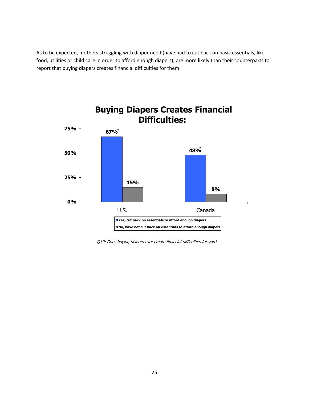As to be expected, mothers struggling with diaper need (have had to cut back on basic essentials, like food, utilities or child care in order to afford enough diapers), are more likely than their counterparts to report that buying diapers creates financial difficulties for them.



Q19: Does buying diapers ever create financial difficulties for you?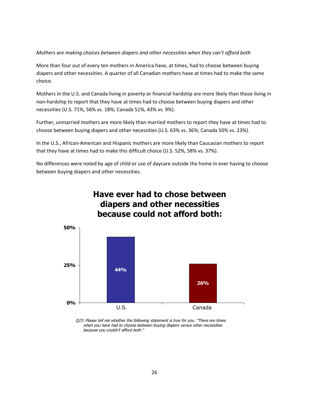#### *Mothers are making choices between diapers and other necessities when they can't afford both*

More than four out of every ten mothers in America have, at times, had to choose between buying diapers and other necessities. A quarter of all Canadian mothers have at times had to make the same choice.

Mothers in the U.S. and Canada living in poverty or financial hardship are more likely than those living in non-hardship to report that they have at times had to choose between buying diapers and other necessities (U.S. 71%, 56% vs. 18%; Canada 51%, 43% vs. 9%).

Further, unmarried mothers are more likely than married mothers to report they have at times had to choose between buying diapers and other necessities (U.S. 63% vs. 36%; Canada 50% vs. 23%).

In the U.S., African-American and Hispanic mothers are more likely than Caucasian mothers to report that they have at times had to make this difficult choice (U.S. 52%, 58% vs. 37%).

No differences were noted by age of child or use of daycare outside the home in ever having to choose between buying diapers and other necessities.



Q23: Please tell me whether the following statement is true for you. "There are times when you have had to choose between buying diapers versus other necessities because you couldn't afford both."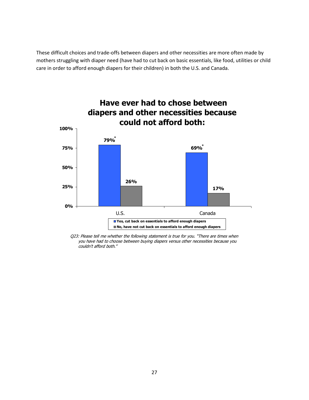These difficult choices and trade-offs between diapers and other necessities are more often made by mothers struggling with diaper need (have had to cut back on basic essentials, like food, utilities or child care in order to afford enough diapers for their children) in both the U.S. and Canada.



Q23: Please tell me whether the following statement is true for you. "There are times when you have had to choose between buying diapers versus other necessities because you couldn't afford both."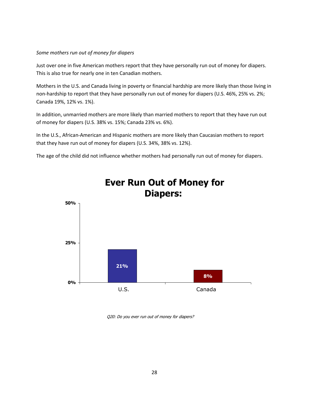#### *Some mothers run out of money for diapers*

Just over one in five American mothers report that they have personally run out of money for diapers. This is also true for nearly one in ten Canadian mothers.

Mothers in the U.S. and Canada living in poverty or financial hardship are more likely than those living in non-hardship to report that they have personally run out of money for diapers (U.S. 46%, 25% vs. 2%; Canada 19%, 12% vs. 1%).

In addition, unmarried mothers are more likely than married mothers to report that they have run out of money for diapers (U.S. 38% vs. 15%; Canada 23% vs. 6%).

In the U.S., African-American and Hispanic mothers are more likely than Caucasian mothers to report that they have run out of money for diapers (U.S. 34%, 38% vs. 12%).

The age of the child did not influence whether mothers had personally run out of money for diapers.



# **Ever Run Out of Money for Diapers:**

Q20: Do you ever run out of money for diapers?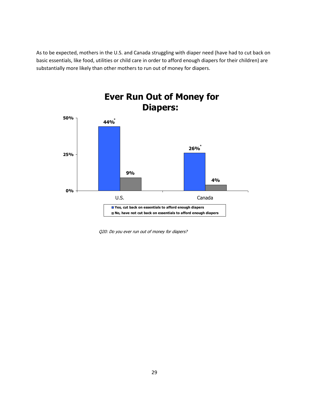As to be expected, mothers in the U.S. and Canada struggling with diaper need (have had to cut back on basic essentials, like food, utilities or child care in order to afford enough diapers for their children) are substantially more likely than other mothers to run out of money for diapers.



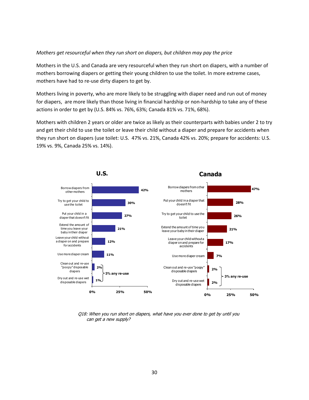#### *Mothers get resourceful when they run short on diapers, but children may pay the price*

Mothers in the U.S. and Canada are very resourceful when they run short on diapers, with a number of mothers borrowing diapers or getting their young children to use the toilet. In more extreme cases, mothers have had to re-use dirty diapers to get by.

Mothers living in poverty, who are more likely to be struggling with diaper need and run out of money for diapers, are more likely than those living in financial hardship or non-hardship to take any of these actions in order to get by (U.S. 84% vs. 76%, 63%; Canada 81% vs. 71%, 68%).

Mothers with children 2 years or older are twice as likely as their counterparts with babies under 2 to try and get their child to use the toilet or leave their child without a diaper and prepare for accidents when they run short on diapers (use toilet: U.S. 47% vs. 21%, Canada 42% vs. 20%; prepare for accidents: U.S. 19% vs. 9%, Canada 25% vs. 14%).



Q18: When you run short on diapers, what have you ever done to get by until you can get a new supply?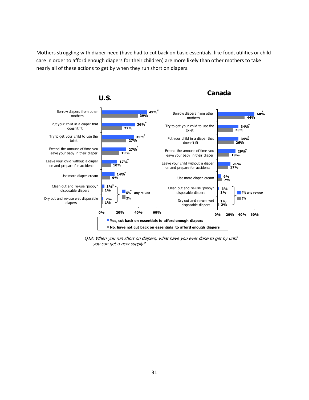Mothers struggling with diaper need (have had to cut back on basic essentials, like food, utilities or child care in order to afford enough diapers for their children) are more likely than other mothers to take nearly all of these actions to get by when they run short on diapers.



Q18: When you run short on diapers, what have you ever done to get by until you can get a new supply?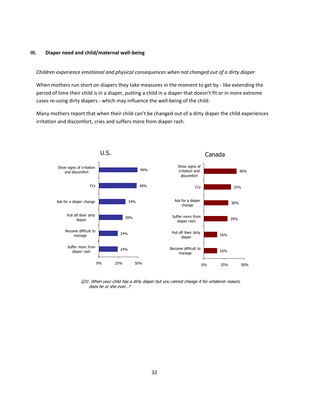#### **III. Diaper need and child/maternal well-being**

#### *Children experience emotional and physical consequences when not changed out of a dirty diaper*

When mothers run short on diapers they take measures in the moment to get by - like extending the period of time their child is in a diaper, putting a child in a diaper that doesn't fit or in more extreme cases re-using dirty diapers - which may influence the well-being of the child.

Many mothers report that when their child can't be changed out of a dirty diaper the child experiences irritation and discomfort, cries and suffers more from diaper rash.



Q31. When your child has a dirty diaper but you cannot change it for whatever reason, does he or she ever…?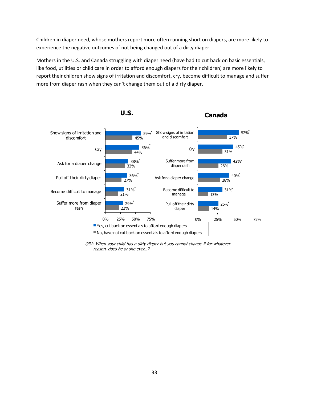Children in diaper need, whose mothers report more often running short on diapers, are more likely to experience the negative outcomes of not being changed out of a dirty diaper.

Mothers in the U.S. and Canada struggling with diaper need (have had to cut back on basic essentials, like food, utilities or child care in order to afford enough diapers for their children) are more likely to report their children show signs of irritation and discomfort, cry, become difficult to manage and suffer more from diaper rash when they can't change them out of a dirty diaper.



Q31: When your child has a dirty diaper but you cannot change it for whatever reason, does he or she ever…?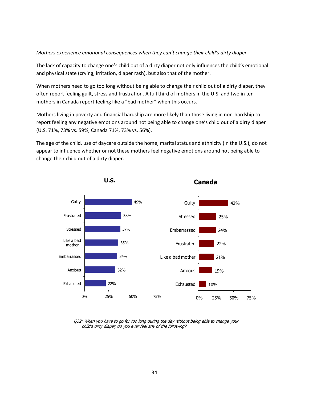#### *Mothers experience emotional consequences when they can't change their child's dirty diaper*

The lack of capacity to change one's child out of a dirty diaper not only influences the child's emotional and physical state (crying, irritation, diaper rash), but also that of the mother.

When mothers need to go too long without being able to change their child out of a dirty diaper, they often report feeling guilt, stress and frustration. A full third of mothers in the U.S. and two in ten mothers in Canada report feeling like a "bad mother" when this occurs.

Mothers living in poverty and financial hardship are more likely than those living in non-hardship to report feeling any negative emotions around not being able to change one's child out of a dirty diaper (U.S. 71%, 73% vs. 59%; Canada 71%, 73% vs. 56%).

The age of the child, use of daycare outside the home, marital status and ethnicity (in the U.S.), do not appear to influence whether or not these mothers feel negative emotions around not being able to change their child out of a dirty diaper.



Q32: When you have to go for too long during the day without being able to change your child's dirty diaper, do you ever feel any of the following?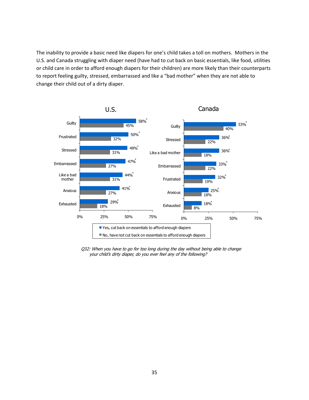The inability to provide a basic need like diapers for one's child takes a toll on mothers. Mothers in the U.S. and Canada struggling with diaper need (have had to cut back on basic essentials, like food, utilities or child care in order to afford enough diapers for their children) are more likely than their counterparts to report feeling guilty, stressed, embarrassed and like a "bad mother" when they are not able to change their child out of a dirty diaper.



Q32: When you have to go for too long during the day without being able to change your child's dirty diaper, do you ever feel any of the following?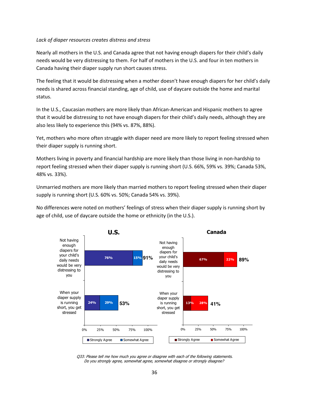#### *Lack of diaper resources creates distress and stress*

Nearly all mothers in the U.S. and Canada agree that not having enough diapers for their child's daily needs would be very distressing to them. For half of mothers in the U.S. and four in ten mothers in Canada having their diaper supply run short causes stress.

The feeling that it would be distressing when a mother doesn't have enough diapers for her child's daily needs is shared across financial standing, age of child, use of daycare outside the home and marital status.

In the U.S., Caucasian mothers are more likely than African-American and Hispanic mothers to agree that it would be distressing to not have enough diapers for their child's daily needs, although they are also less likely to experience this (94% vs. 87%, 88%).

Yet, mothers who more often struggle with diaper need are more likely to report feeling stressed when their diaper supply is running short.

Mothers living in poverty and financial hardship are more likely than those living in non-hardship to report feeling stressed when their diaper supply is running short (U.S. 66%, 59% vs. 39%; Canada 53%, 48% vs. 33%).

Unmarried mothers are more likely than married mothers to report feeling stressed when their diaper supply is running short (U.S. 60% vs. 50%; Canada 54% vs. 39%).

No differences were noted on mothers' feelings of stress when their diaper supply is running short by age of child, use of daycare outside the home or ethnicity (in the U.S.).



Q33: Please tell me how much you agree or disagree with each of the following statements. Do you strongly agree, somewhat agree, somewhat disagree or strongly disagree?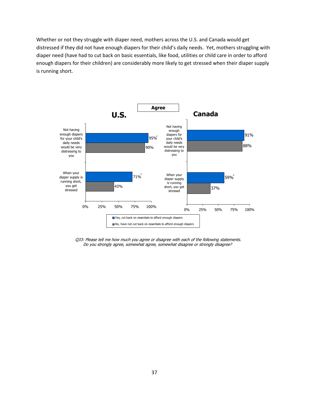Whether or not they struggle with diaper need, mothers across the U.S. and Canada would get distressed if they did not have enough diapers for their child's daily needs. Yet, mothers struggling with diaper need (have had to cut back on basic essentials, like food, utilities or child care in order to afford enough diapers for their children) are considerably more likely to get stressed when their diaper supply is running short.



Q33: Please tell me how much you agree or disagree with each of the following statements. Do you strongly agree, somewhat agree, somewhat disagree or strongly disagree?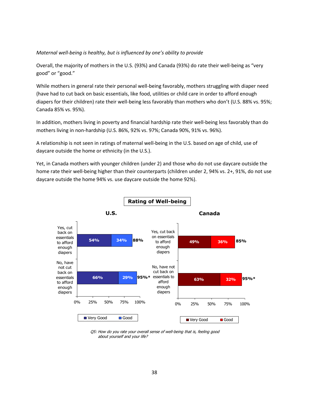#### *Maternal well-being is healthy, but is influenced by one's ability to provide*

Overall, the majority of mothers in the U.S. (93%) and Canada (93%) do rate their well-being as "very good" or "good."

While mothers in general rate their personal well-being favorably, mothers struggling with diaper need (have had to cut back on basic essentials, like food, utilities or child care in order to afford enough diapers for their children) rate their well-being less favorably than mothers who don't (U.S. 88% vs. 95%; Canada 85% vs. 95%).

In addition, mothers living in poverty and financial hardship rate their well-being less favorably than do mothers living in non-hardship (U.S. 86%, 92% vs. 97%; Canada 90%, 91% vs. 96%).

A relationship is not seen in ratings of maternal well-being in the U.S. based on age of child, use of daycare outside the home or ethnicity (in the U.S.).

Yet, in Canada mothers with younger children (under 2) and those who do not use daycare outside the home rate their well-being higher than their counterparts (children under 2, 94% vs. 2+, 91%, do not use daycare outside the home 94% vs. use daycare outside the home 92%).



Q5: How do you rate your overall sense of well-being that is, feeling good about yourself and your life?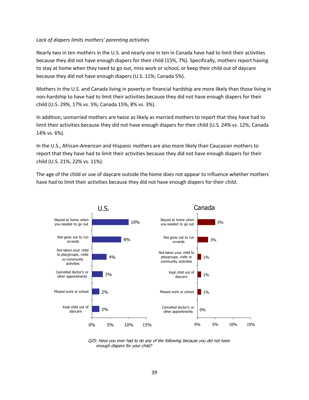#### *Lack of diapers limits mothers' parenting activities*

Nearly two in ten mothers in the U.S. and nearly one in ten in Canada have had to limit their activities because they did not have enough diapers for their child (15%, 7%). Specifically, mothers report having to stay at home when they need to go out, miss work or school, or keep their child out of daycare because they did not have enough diapers (U.S. 11%; Canada 5%).

Mothers in the U.S. and Canada living in poverty or financial hardship are more likely than those living in non-hardship to have had to limit their activities because they did not have enough diapers for their child (U.S. 29%, 17% vs. 5%; Canada 15%, 8% vs. 3%).

In addition, unmarried mothers are twice as likely as married mothers to report that they have had to limit their activities because they did not have enough diapers for their child (U.S. 24% vs. 12%; Canada 14% vs. 6%).

In the U.S., African-American and Hispanic mothers are also more likely than Caucasian mothers to report that they have had to limit their activities because they did not have enough diapers for their child (U.S. 21%, 22% vs. 11%).

The age of the child or use of daycare outside the home does not appear to influence whether mothers have had to limit their activities because they did not have enough diapers for their child.



Q25: Have you ever had to do any of the following because you did not have enough diapers for your child?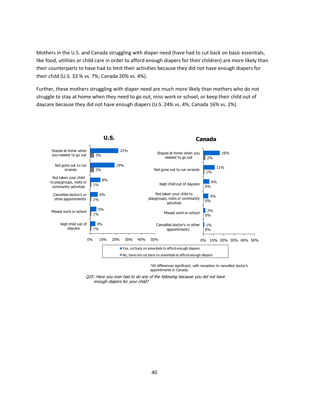Mothers in the U.S. and Canada struggling with diaper need (have had to cut back on basic essentials, like food, utilities or child care in order to afford enough diapers for their children) are more likely than their counterparts to have had to limit their activities because they did not have enough diapers for their child (U.S. 33 % vs. 7%; Canada 20% vs. 4%).

Further, these mothers struggling with diaper need are much more likely than mothers who do not struggle to stay at home when they need to go out, miss work or school, or keep their child out of daycare because they did not have enough diapers (U.S. 24% vs. 4%; Canada 16% vs. 2%).



appointments in Canada.

Q25: Have you ever had to do any of the following because you did not have enough diapers for your child?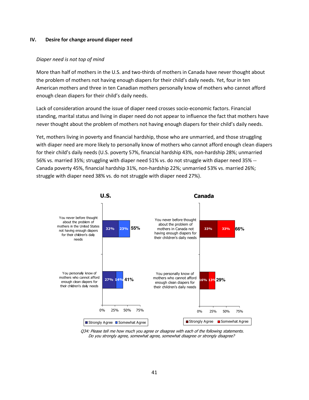#### **IV. Desire for change around diaper need**

#### *Diaper need is not top of mind*

More than half of mothers in the U.S. and two-thirds of mothers in Canada have never thought about the problem of mothers not having enough diapers for their child's daily needs. Yet, four in ten American mothers and three in ten Canadian mothers personally know of mothers who cannot afford enough clean diapers for their child's daily needs.

Lack of consideration around the issue of diaper need crosses socio-economic factors. Financial standing, marital status and living in diaper need do not appear to influence the fact that mothers have never thought about the problem of mothers not having enough diapers for their child's daily needs.

Yet, mothers living in poverty and financial hardship, those who are unmarried, and those struggling with diaper need are more likely to personally know of mothers who cannot afford enough clean diapers for their child's daily needs (U.S. poverty 57%, financial hardship 43%, non-hardship 28%; unmarried 56% vs. married 35%; struggling with diaper need 51% vs. do not struggle with diaper need 35% -- Canada poverty 45%, financial hardship 31%, non-hardship 22%; unmarried 53% vs. married 26%; struggle with diaper need 38% vs. do not struggle with diaper need 27%).



Q34: Please tell me how much you agree or disagree with each of the following statements. Do you strongly agree, somewhat agree, somewhat disagree or strongly disagree?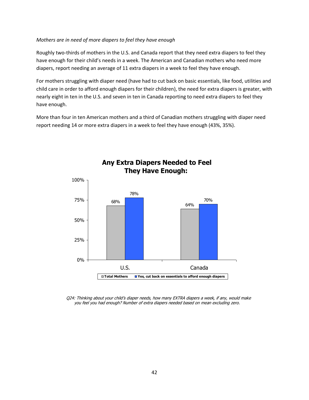#### *Mothers are in need of more diapers to feel they have enough*

Roughly two-thirds of mothers in the U.S. and Canada report that they need extra diapers to feel they have enough for their child's needs in a week. The American and Canadian mothers who need more diapers, report needing an average of 11 extra diapers in a week to feel they have enough.

For mothers struggling with diaper need (have had to cut back on basic essentials, like food, utilities and child care in order to afford enough diapers for their children), the need for extra diapers is greater, with nearly eight in ten in the U.S. and seven in ten in Canada reporting to need extra diapers to feel they have enough.

More than four in ten American mothers and a third of Canadian mothers struggling with diaper need report needing 14 or more extra diapers in a week to feel they have enough (43%, 35%).



 **Any Extra Diapers Needed to Feel They Have Enough:**

Q24: Thinking about your child's diaper needs, how many EXTRA diapers a week, if any, would make you feel you had enough? Number of extra diapers needed based on mean excluding zero.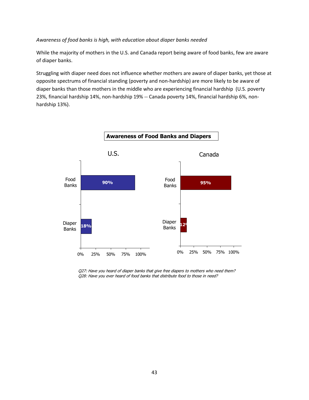#### *Awareness of food banks is high, with education about diaper banks needed*

While the majority of mothers in the U.S. and Canada report being aware of food banks, few are aware of diaper banks.

Struggling with diaper need does not influence whether mothers are aware of diaper banks, yet those at opposite spectrums of financial standing (poverty and non-hardship) are more likely to be aware of diaper banks than those mothers in the middle who are experiencing financial hardship (U.S. poverty 23%, financial hardship 14%, non-hardship 19% -- Canada poverty 14%, financial hardship 6%, nonhardship 13%).



Q27: Have you heard of diaper banks that give free diapers to mothers who need them? Q28: Have you ever heard of food banks that distribute food to those in need?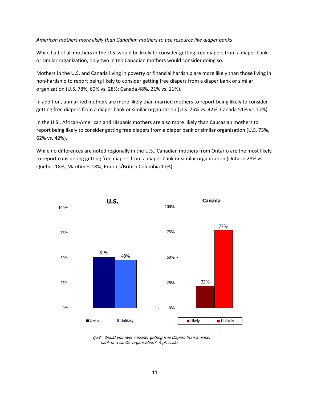#### *American mothers more likely than Canadian mothers to use resource like diaper banks*

While half of all mothers in the U.S. would be likely to consider getting free diapers from a diaper bank or similar organization, only two in ten Canadian mothers would consider doing so.

Mothers in the U.S. and Canada living in poverty or financial hardship are more likely than those living in non-hardship to report being likely to consider getting free diapers from a diaper bank or similar organization (U.S. 78%, 60% vs. 28%; Canada 48%, 21% vs. 11%).

In addition, unmarried mothers are more likely than married mothers to report being likely to consider getting free diapers from a diaper bank or similar organization (U.S. 75% vs. 42%; Canada 51% vs. 17%).

In the U.S., African-American and Hispanic mothers are also more likely than Caucasian mothers to report being likely to consider getting free diapers from a diaper bank or similar organization (U.S. 73%, 62% vs. 42%).

While no differences are noted regionally in the U.S., Canadian mothers from Ontario are the most likely to report considering getting free diapers from a diaper bank or similar organization (Ontario 28% vs. Quebec 18%, Maritimes 18%, Prairies/British Columbia 17%).



Q29: Would you ever consider getting free diapers from a diaper bank or a similar organization? 4 pt. scale.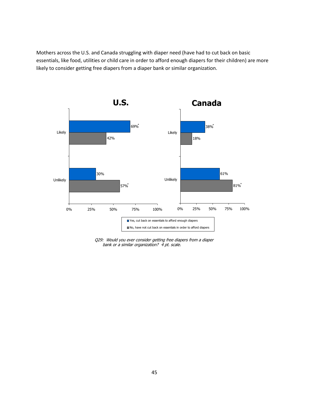Mothers across the U.S. and Canada struggling with diaper need (have had to cut back on basic essentials, like food, utilities or child care in order to afford enough diapers for their children) are more likely to consider getting free diapers from a diaper bank or similar organization.



Q29: Would you ever consider getting free diapers from a diaper bank or a similar organization? 4 pt. scale.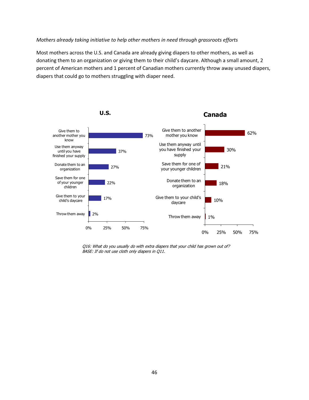#### *Mothers already taking initiative to help other mothers in need through grassroots efforts*

Most mothers across the U.S. and Canada are already giving diapers to other mothers, as well as donating them to an organization or giving them to their child's daycare. Although a small amount, 2 percent of American mothers and 1 percent of Canadian mothers currently throw away unused diapers, diapers that could go to mothers struggling with diaper need.



Q16: What do you usually do with extra diapers that your child has grown out of? BASE: If do not use cloth only diapers in Q11.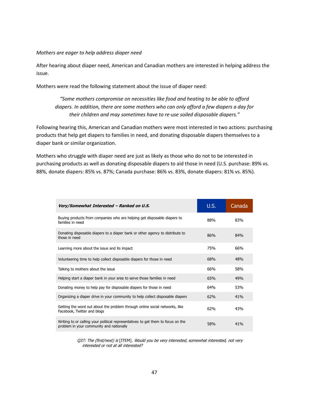#### *Mothers are eager to help address diaper need*

After hearing about diaper need, American and Canadian mothers are interested in helping address the issue.

Mothers were read the following statement about the issue of diaper need:

*"Some mothers compromise on necessities like food and heating to be able to afford diapers. In addition, there are some mothers who can only afford a few diapers a day for their children and may sometimes have to re-use soiled disposable diapers."*

Following hearing this, American and Canadian mothers were most interested in two actions: purchasing products that help get diapers to families in need, and donating disposable diapers themselves to a diaper bank or similar organization.

Mothers who struggle with diaper need are just as likely as those who do not to be interested in purchasing products as well as donating disposable diapers to aid those in need (U.S. purchase: 89% vs. 88%, donate diapers: 85% vs. 87%; Canada purchase: 86% vs. 83%, donate diapers: 81% vs. 85%).

| Very/Somewhat Interested - Ranked on U.S.                                                                                    | <b>U.S.</b> | Canada |
|------------------------------------------------------------------------------------------------------------------------------|-------------|--------|
| Buying products from companies who are helping get disposable diapers to<br>families in need                                 | 88%         | 83%    |
| Donating disposable diapers to a diaper bank or other agency to distribute to<br>those in need                               | 86%         | 84%    |
| Learning more about the issue and its impact                                                                                 | 75%         | 66%    |
| Volunteering time to help collect disposable diapers for those in need                                                       | 68%         | 48%    |
| Talking to mothers about the issue                                                                                           | 66%         | 58%    |
| Helping start a diaper bank in your area to serve those families in need                                                     | 65%         | 49%    |
| Donating money to help pay for disposable diapers for those in need                                                          | 64%         | 53%    |
| Organizing a diaper drive in your community to help collect disposable diapers                                               | 62%         | 41%    |
| Getting the word out about the problem through online social networks, like<br>Facebook, Twitter and blogs                   | 62%         | 43%    |
| Writing to or calling your political representatives to get them to focus on the<br>problem in your community and nationally | 58%         | 41%    |

Q37: The (first/next) is [ITEM]. Would you be very interested, somewhat interested, not very interested or not at all interested?